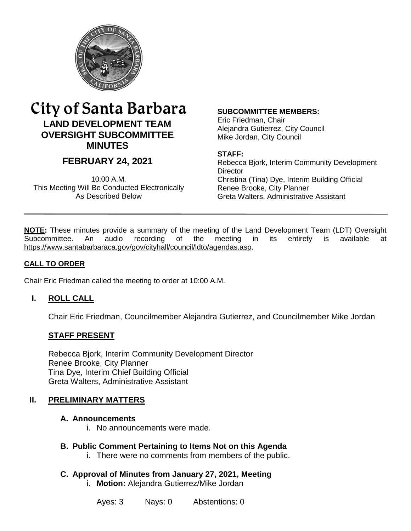

# City of Santa Barbara **LAND DEVELOPMENT TEAM OVERSIGHT SUBCOMMITTEE MINUTES**

# **FEBRUARY 24, 2021**

10:00 A.M. This Meeting Will Be Conducted Electronically As Described Below

#### **SUBCOMMITTEE MEMBERS:**

Eric Friedman, Chair Alejandra Gutierrez, City Council Mike Jordan, City Council

#### **STAFF:**

Rebecca Bjork, Interim Community Development **Director** Christina (Tina) Dye, Interim Building Official Renee Brooke, City Planner Greta Walters, Administrative Assistant

**NOTE:** These minutes provide a summary of the meeting of the Land Development Team (LDT) Oversight Subcommittee. An audio recording of the meeting in its entirety is available at [https://www.santabarbaraca.gov/gov/cityhall/council/ldto/agendas.asp.](https://www.santabarbaraca.gov/gov/cityhall/council/ldto/agendas.asp)

#### **CALL TO ORDER**

Chair Eric Friedman called the meeting to order at 10:00 A.M.

### **I. ROLL CALL**

Chair Eric Friedman, Councilmember Alejandra Gutierrez, and Councilmember Mike Jordan

#### **STAFF PRESENT**

Rebecca Bjork, Interim Community Development Director Renee Brooke, City Planner Tina Dye, Interim Chief Building Official Greta Walters, Administrative Assistant

#### **II. PRELIMINARY MATTERS**

#### **A. Announcements**

i. No announcements were made.

#### **B. Public Comment Pertaining to Items Not on this Agenda**

- i. There were no comments from members of the public.
- **C. Approval of Minutes from January 27, 2021, Meeting**
	- i. **Motion:** Alejandra Gutierrez/Mike Jordan

Ayes: 3 Nays: 0 Abstentions: 0